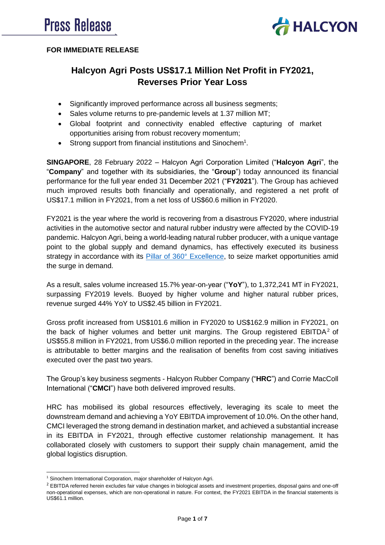

## **FOR IMMEDIATE RELEASE**

# **Halcyon Agri Posts US\$17.1 Million Net Profit in FY2021, Reverses Prior Year Loss**

- Significantly improved performance across all business segments;
- Sales volume returns to pre-pandemic levels at 1.37 million MT;
- Global footprint and connectivity enabled effective capturing of market opportunities arising from robust recovery momentum;
- Strong support from financial institutions and Sinochem<sup>1</sup>.

**SINGAPORE**, 28 February 2022 – Halcyon Agri Corporation Limited ("**Halcyon Agri**", the "**Company**" and together with its subsidiaries, the "**Group**") today announced its financial performance for the full year ended 31 December 2021 ("**FY2021**"). The Group has achieved much improved results both financially and operationally, and registered a net profit of US\$17.1 million in FY2021, from a net loss of US\$60.6 million in FY2020.

FY2021 is the year where the world is recovering from a disastrous FY2020, where industrial activities in the automotive sector and natural rubber industry were affected by the COVID-19 pandemic. Halcyon Agri, being a world-leading natural rubber producer, with a unique vantage point to the global supply and demand dynamics, has effectively executed its business strategy in accordance with its [Pillar of 360°](https://www.halcyonagri.com/en/about-us/vision-statement/) Excellence, to seize market opportunities amid the surge in demand.

As a result, sales volume increased 15.7% year-on-year ("**YoY**"), to 1,372,241 MT in FY2021, surpassing FY2019 levels. Buoyed by higher volume and higher natural rubber prices, revenue surged 44% YoY to US\$2.45 billion in FY2021.

Gross profit increased from US\$101.6 million in FY2020 to US\$162.9 million in FY2021, on the back of higher volumes and better unit margins. The Group registered  $EBITDA<sup>2</sup>$  of US\$55.8 million in FY2021, from US\$6.0 million reported in the preceding year. The increase is attributable to better margins and the realisation of benefits from cost saving initiatives executed over the past two years.

The Group's key business segments - Halcyon Rubber Company ("**HRC**") and Corrie MacColl International ("**CMCI**") have both delivered improved results.

HRC has mobilised its global resources effectively, leveraging its scale to meet the downstream demand and achieving a YoY EBITDA improvement of 10.0%. On the other hand, CMCI leveraged the strong demand in destination market, and achieved a substantial increase in its EBITDA in FY2021, through effective customer relationship management. It has collaborated closely with customers to support their supply chain management, amid the global logistics disruption.

**.** 

<sup>&</sup>lt;sup>1</sup> Sinochem International Corporation, major shareholder of Halcyon Agri.

<sup>&</sup>lt;sup>2</sup> EBITDA referred herein excludes fair value changes in biological assets and investment properties, disposal gains and one-off non-operational expenses, which are non-operational in nature. For context, the FY2021 EBITDA in the financial statements is US\$61.1 million.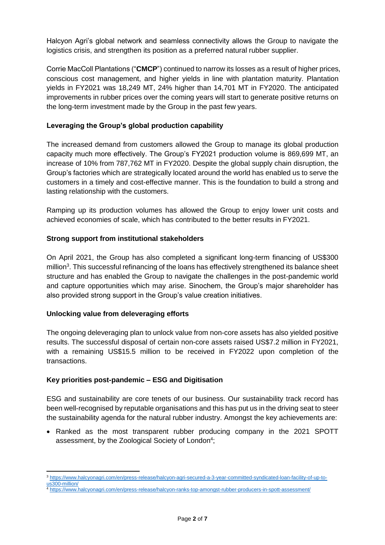Halcyon Agri's global network and seamless connectivity allows the Group to navigate the logistics crisis, and strengthen its position as a preferred natural rubber supplier.

Corrie MacColl Plantations ("**CMCP**") continued to narrow its losses as a result of higher prices, conscious cost management, and higher yields in line with plantation maturity. Plantation yields in FY2021 was 18,249 MT, 24% higher than 14,701 MT in FY2020. The anticipated improvements in rubber prices over the coming years will start to generate positive returns on the long-term investment made by the Group in the past few years.

## **Leveraging the Group's global production capability**

The increased demand from customers allowed the Group to manage its global production capacity much more effectively. The Group's FY2021 production volume is 869,699 MT, an increase of 10% from 787,762 MT in FY2020. Despite the global supply chain disruption, the Group's factories which are strategically located around the world has enabled us to serve the customers in a timely and cost-effective manner. This is the foundation to build a strong and lasting relationship with the customers.

Ramping up its production volumes has allowed the Group to enjoy lower unit costs and achieved economies of scale, which has contributed to the better results in FY2021.

## **Strong support from institutional stakeholders**

On April 2021, the Group has also completed a significant long-term financing of US\$300 million<sup>3</sup>. This successful refinancing of the loans has effectively strengthened its balance sheet structure and has enabled the Group to navigate the challenges in the post-pandemic world and capture opportunities which may arise. Sinochem, the Group's major shareholder has also provided strong support in the Group's value creation initiatives.

### **Unlocking value from deleveraging efforts**

The ongoing deleveraging plan to unlock value from non-core assets has also yielded positive results. The successful disposal of certain non-core assets raised US\$7.2 million in FY2021, with a remaining US\$15.5 million to be received in FY2022 upon completion of the transactions.

### **Key priorities post-pandemic – ESG and Digitisation**

ESG and sustainability are core tenets of our business. Our sustainability track record has been well-recognised by reputable organisations and this has put us in the driving seat to steer the sustainability agenda for the natural rubber industry. Amongst the key achievements are:

• Ranked as the most transparent rubber producing company in the 2021 SPOTT assessment, by the Zoological Society of London<sup>4</sup>;

**<sup>.</sup>** <sup>3</sup> [https://www.halcyonagri.com/en/press-release/halcyon-agri-secured-a-3-year-committed-syndicated-loan-facility-of-up-to](https://www.halcyonagri.com/en/press-release/halcyon-agri-secured-a-3-year-committed-syndicated-loan-facility-of-up-to-us300-million/)[us300-million/](https://www.halcyonagri.com/en/press-release/halcyon-agri-secured-a-3-year-committed-syndicated-loan-facility-of-up-to-us300-million/)

<https://www.halcyonagri.com/en/press-release/halcyon-ranks-top-amongst-rubber-producers-in-spott-assessment/>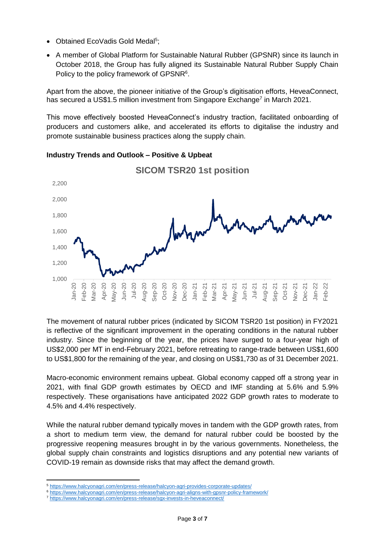- Obtained EcoVadis Gold Medal<sup>5</sup>;
- A member of Global Platform for Sustainable Natural Rubber (GPSNR) since its launch in October 2018, the Group has fully aligned its Sustainable Natural Rubber Supply Chain Policy to the policy framework of GPSNR<sup>6</sup>.

Apart from the above, the pioneer initiative of the Group's digitisation efforts, HeveaConnect, has secured a US\$1.5 million investment from Singapore Exchange<sup>7</sup> in March 2021.

This move effectively boosted HeveaConnect's industry traction, facilitated onboarding of producers and customers alike, and accelerated its efforts to digitalise the industry and promote sustainable business practices along the supply chain.



**Industry Trends and Outlook – Positive & Upbeat**

The movement of natural rubber prices (indicated by SICOM TSR20 1st position) in FY2021 is reflective of the significant improvement in the operating conditions in the natural rubber industry. Since the beginning of the year, the prices have surged to a four-year high of US\$2,000 per MT in end-February 2021, before retreating to range-trade between US\$1,600 to US\$1,800 for the remaining of the year, and closing on US\$1,730 as of 31 December 2021.

Macro-economic environment remains upbeat. Global economy capped off a strong year in 2021, with final GDP growth estimates by OECD and IMF standing at 5.6% and 5.9% respectively. These organisations have anticipated 2022 GDP growth rates to moderate to 4.5% and 4.4% respectively.

While the natural rubber demand typically moves in tandem with the GDP growth rates, from a short to medium term view, the demand for natural rubber could be boosted by the progressive reopening measures brought in by the various governments. Nonetheless, the global supply chain constraints and logistics disruptions and any potential new variants of COVID-19 remain as downside risks that may affect the demand growth.

**<sup>.</sup>** <sup>5</sup> <https://www.halcyonagri.com/en/press-release/halcyon-agri-provides-corporate-updates/>

<sup>6</sup> <https://www.halcyonagri.com/en/press-release/halcyon-agri-aligns-with-gpsnr-policy-framework/>

<sup>7</sup> <https://www.halcyonagri.com/en/press-release/sgx-invests-in-heveaconnect/>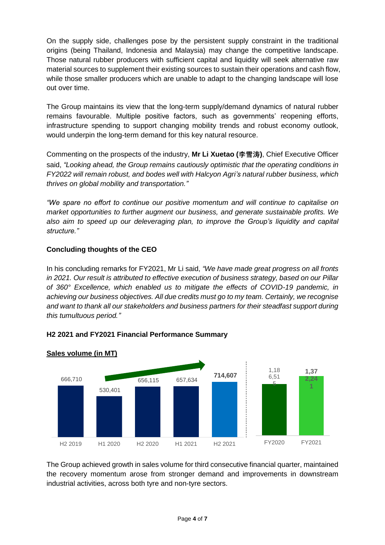On the supply side, challenges pose by the persistent supply constraint in the traditional origins (being Thailand, Indonesia and Malaysia) may change the competitive landscape. Those natural rubber producers with sufficient capital and liquidity will seek alternative raw material sources to supplement their existing sources to sustain their operations and cash flow, while those smaller producers which are unable to adapt to the changing landscape will lose out over time.

The Group maintains its view that the long-term supply/demand dynamics of natural rubber remains favourable. Multiple positive factors, such as governments' reopening efforts, infrastructure spending to support changing mobility trends and robust economy outlook, would underpin the long-term demand for this key natural resource.

Commenting on the prospects of the industry, **Mr Li Xuetao (李雪涛)**, Chief Executive Officer said, *"Looking ahead, the Group remains cautiously optimistic that the operating conditions in FY2022 will remain robust, and bodes well with Halcyon Agri's natural rubber business, which thrives on global mobility and transportation."*

*"We spare no effort to continue our positive momentum and will continue to capitalise on market opportunities to further augment our business, and generate sustainable profits. We also aim to speed up our deleveraging plan, to improve the Group's liquidity and capital structure."*

# **Concluding thoughts of the CEO**

In his concluding remarks for FY2021, Mr Li said, *"We have made great progress on all fronts in 2021. Our result is attributed to effective execution of business strategy, based on our Pillar of 360° Excellence, which enabled us to mitigate the effects of COVID-19 pandemic, in achieving our business objectives. All due credits must go to my team. Certainly, we recognise and want to thank all our stakeholders and business partners for their steadfast support during this tumultuous period."*



## **H2 2021 and FY2021 Financial Performance Summary**

The Group achieved growth in sales volume for third consecutive financial quarter, maintained the recovery momentum arose from stronger demand and improvements in downstream industrial activities, across both tyre and non-tyre sectors.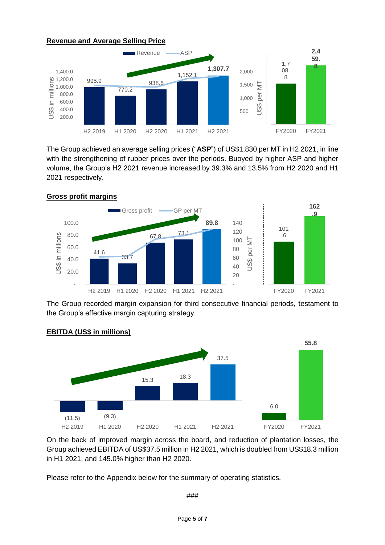

The Group achieved an average selling prices ("**ASP**") of US\$1,830 per MT in H2 2021, in line with the strengthening of rubber prices over the periods. Buoyed by higher ASP and higher volume, the Group's H2 2021 revenue increased by 39.3% and 13.5% from H2 2020 and H1 2021 respectively.



The Group recorded margin expansion for third consecutive financial periods, testament to the Group's effective margin capturing strategy.



# **EBITDA (US\$ in millions)**

On the back of improved margin across the board, and reduction of plantation losses, the Group achieved EBITDA of US\$37.5 million in H2 2021, which is doubled from US\$18.3 million in H1 2021, and 145.0% higher than H2 2020.

Please refer to the Appendix below for the summary of operating statistics.

###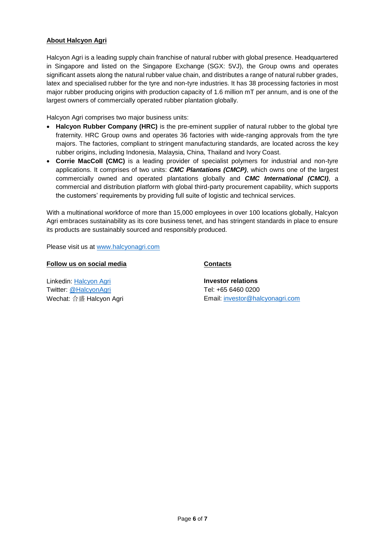#### **About Halcyon Agri**

Halcyon Agri is a leading supply chain franchise of natural rubber with global presence. Headquartered in Singapore and listed on the Singapore Exchange (SGX: 5VJ), the Group owns and operates significant assets along the natural rubber value chain, and distributes a range of natural rubber grades, latex and specialised rubber for the tyre and non-tyre industries. It has 38 processing factories in most major rubber producing origins with production capacity of 1.6 million mT per annum, and is one of the largest owners of commercially operated rubber plantation globally.

Halcyon Agri comprises two major business units:

- Halcyon Rubber Company (HRC) is the pre-eminent supplier of natural rubber to the global tyre fraternity. HRC Group owns and operates 36 factories with wide-ranging approvals from the tyre majors. The factories, compliant to stringent manufacturing standards, are located across the key rubber origins, including Indonesia, Malaysia, China, Thailand and Ivory Coast.
- **Corrie MacColl (CMC)** is a leading provider of specialist polymers for industrial and non-tyre applications. It comprises of two units: *CMC Plantations (CMCP)*, which owns one of the largest commercially owned and operated plantations globally and *CMC International (CMCI)*, a commercial and distribution platform with global third-party procurement capability, which supports the customers' requirements by providing full suite of logistic and technical services.

With a multinational workforce of more than 15,000 employees in over 100 locations globally, Halcyon Agri embraces sustainability as its core business tenet, and has stringent standards in place to ensure its products are sustainably sourced and responsibly produced.

Please visit us at [www.halcyonagri.com](http://www.halcyonagri.com/)

#### **Follow us on social media**

Linkedin: [Halcyon Agri](https://sg.linkedin.com/company/halcyon-agri-corporation-limited) Twitter: [@HalcyonAgri](https://twitter.com/halcyonagri?lang=en) Wechat: 合盛 Halcyon Agri

#### **Contacts**

**Investor relations** Tel: +65 6460 0200 Email: [investor@halcyonagri.com](mailto:investor@halcyonagri.com)